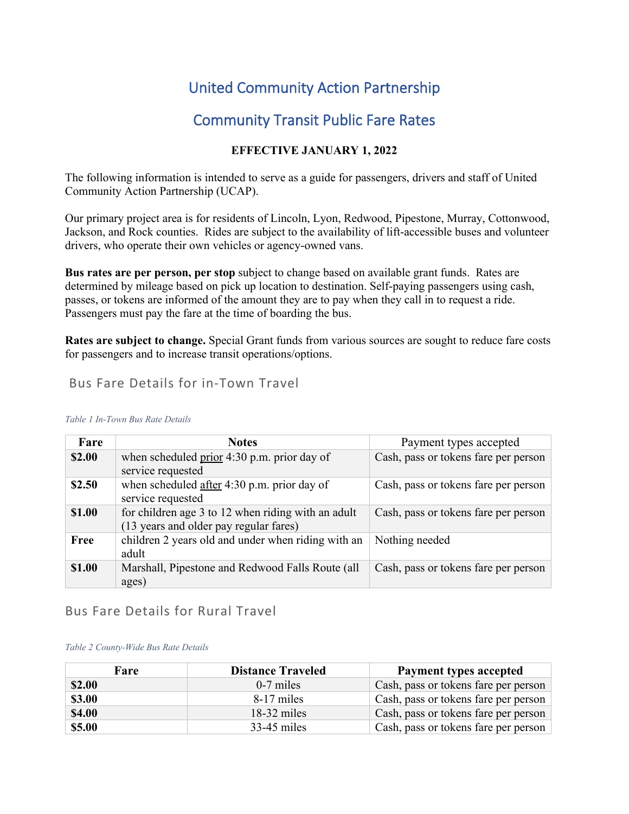# United Community Action Partnership

# Community Transit Public Fare Rates

# **EFFECTIVE JANUARY 1, 2022**

The following information is intended to serve as a guide for passengers, drivers and staff of United Community Action Partnership (UCAP).

Our primary project area is for residents of Lincoln, Lyon, Redwood, Pipestone, Murray, Cottonwood, Jackson, and Rock counties. Rides are subject to the availability of lift-accessible buses and volunteer drivers, who operate their own vehicles or agency-owned vans.

**Bus rates are per person, per stop** subject to change based on available grant funds. Rates are determined by mileage based on pick up location to destination. Self-paying passengers using cash, passes, or tokens are informed of the amount they are to pay when they call in to request a ride. Passengers must pay the fare at the time of boarding the bus.

**Rates are subject to change.** Special Grant funds from various sources are sought to reduce fare costs for passengers and to increase transit operations/options.

# Bus Fare Details for in-Town Travel

| Fare        | <b>Notes</b>                                                                                 | Payment types accepted               |
|-------------|----------------------------------------------------------------------------------------------|--------------------------------------|
| \$2.00      | when scheduled prior 4:30 p.m. prior day of<br>service requested                             | Cash, pass or tokens fare per person |
| \$2.50      | when scheduled after 4:30 p.m. prior day of<br>service requested                             | Cash, pass or tokens fare per person |
| \$1.00      | for children age 3 to 12 when riding with an adult<br>(13 years and older pay regular fares) | Cash, pass or tokens fare per person |
| <b>Free</b> | children 2 years old and under when riding with an<br>adult                                  | Nothing needed                       |
| \$1.00      | Marshall, Pipestone and Redwood Falls Route (all<br>ages)                                    | Cash, pass or tokens fare per person |

#### *Table 1 In-Town Bus Rate Details*

# Bus Fare Details for Rural Travel

#### *Table 2 County-Wide Bus Rate Details*

| Fare   | <b>Distance Traveled</b> | Payment types accepted               |
|--------|--------------------------|--------------------------------------|
| \$2.00 | $0-7$ miles              | Cash, pass or tokens fare per person |
| \$3.00 | $8-17$ miles             | Cash, pass or tokens fare per person |
| \$4.00 | $18-32$ miles            | Cash, pass or tokens fare per person |
| \$5.00 | $33-45$ miles            | Cash, pass or tokens fare per person |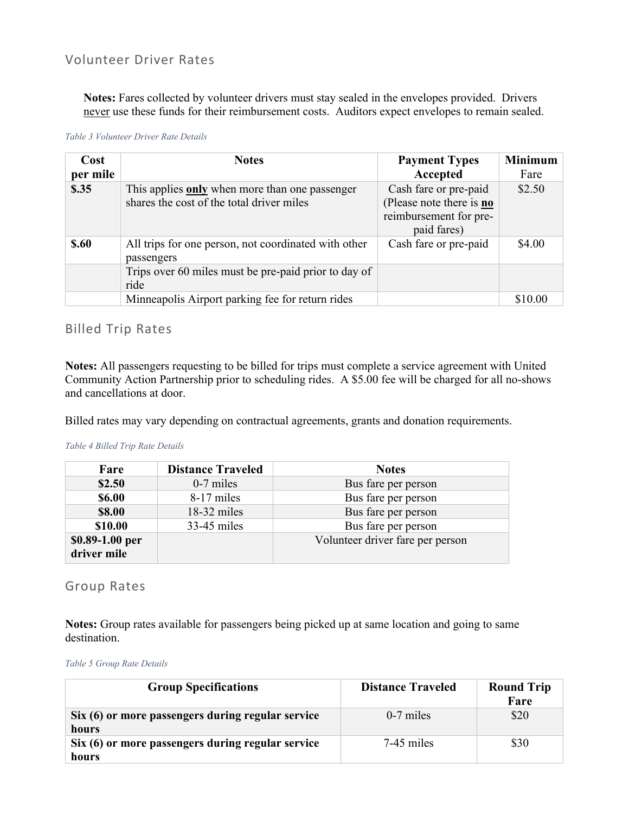**Notes:** Fares collected by volunteer drivers must stay sealed in the envelopes provided. Drivers never use these funds for their reimbursement costs. Auditors expect envelopes to remain sealed.

### *Table 3 Volunteer Driver Rate Details*

| Cost        | <b>Notes</b>                                                                                | <b>Payment Types</b>                                                                              | <b>Minimum</b> |
|-------------|---------------------------------------------------------------------------------------------|---------------------------------------------------------------------------------------------------|----------------|
| per mile    |                                                                                             | Accepted                                                                                          | Fare           |
| $\$$ .35    | This applies only when more than one passenger<br>shares the cost of the total driver miles | Cash fare or pre-paid<br>(Please note there is <b>no</b><br>reimbursement for pre-<br>paid fares) | \$2.50         |
| <b>S.60</b> | All trips for one person, not coordinated with other<br>passengers                          | Cash fare or pre-paid                                                                             | \$4.00         |
|             | Trips over 60 miles must be pre-paid prior to day of<br>ride                                |                                                                                                   |                |
|             | Minneapolis Airport parking fee for return rides                                            |                                                                                                   | \$10.00        |

## Billed Trip Rates

**Notes:** All passengers requesting to be billed for trips must complete a service agreement with United Community Action Partnership prior to scheduling rides. A \$5.00 fee will be charged for all no-shows and cancellations at door.

Billed rates may vary depending on contractual agreements, grants and donation requirements.

### *Table 4 Billed Trip Rate Details*

| Fare                           | <b>Distance Traveled</b> | <b>Notes</b>                     |
|--------------------------------|--------------------------|----------------------------------|
| \$2.50                         | $0-7$ miles              | Bus fare per person              |
| <b>\$6.00</b>                  | 8-17 miles               | Bus fare per person              |
| \$8.00                         | $18-32$ miles            | Bus fare per person              |
| \$10.00                        | 33-45 miles              | Bus fare per person              |
| \$0.89-1.00 per<br>driver mile |                          | Volunteer driver fare per person |

## Group Rates

**Notes:** Group rates available for passengers being picked up at same location and going to same destination.

*Table 5 Group Rate Details*

| <b>Group Specifications</b>                                | <b>Distance Traveled</b> | <b>Round Trip</b><br>Fare |
|------------------------------------------------------------|--------------------------|---------------------------|
| Six (6) or more passengers during regular service<br>hours | $0-7$ miles              | \$20                      |
| Six (6) or more passengers during regular service<br>hours | $7-45$ miles             | \$30                      |